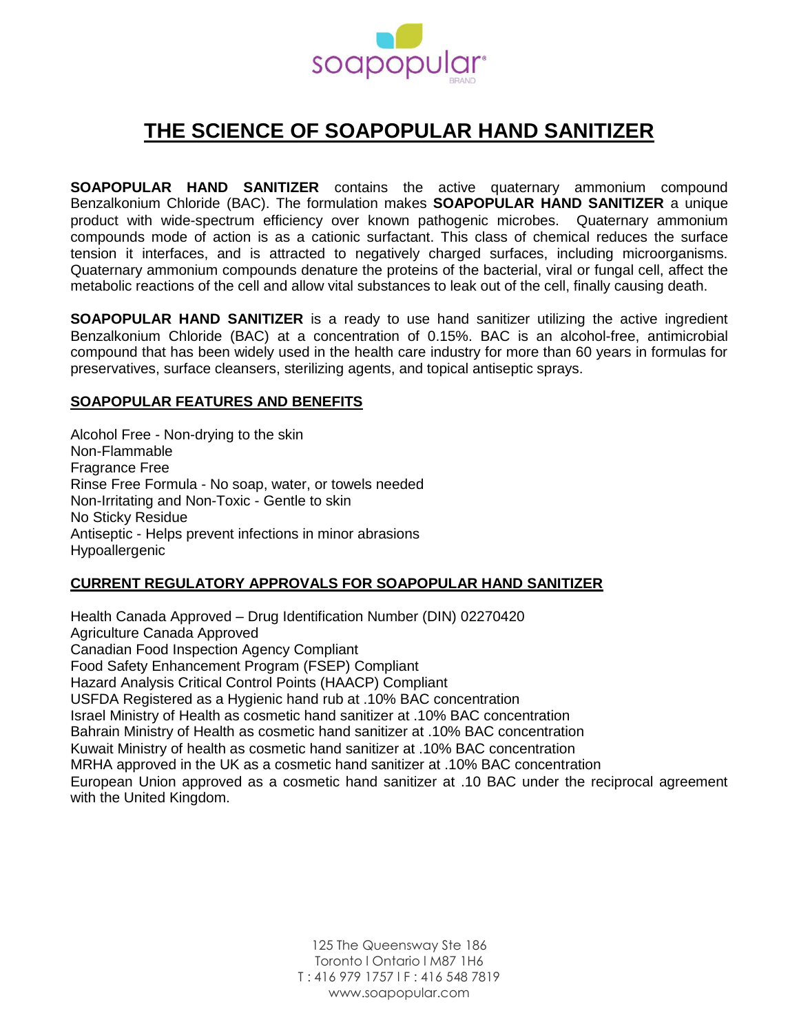

# **THE SCIENCE OF SOAPOPULAR HAND SANITIZER**

**SOAPOPULAR HAND SANITIZER** contains the active quaternary ammonium compound Benzalkonium Chloride (BAC). The formulation makes **SOAPOPULAR HAND SANITIZER** a unique product with wide-spectrum efficiency over known pathogenic microbes. Quaternary ammonium compounds mode of action is as a cationic surfactant. This class of chemical reduces the surface tension it interfaces, and is attracted to negatively charged surfaces, including microorganisms. Quaternary ammonium compounds denature the proteins of the bacterial, viral or fungal cell, affect the metabolic reactions of the cell and allow vital substances to leak out of the cell, finally causing death.

**SOAPOPULAR HAND SANITIZER** is a ready to use hand sanitizer utilizing the active ingredient Benzalkonium Chloride (BAC) at a concentration of 0.15%. BAC is an alcohol-free, antimicrobial compound that has been widely used in the health care industry for more than 60 years in formulas for preservatives, surface cleansers, sterilizing agents, and topical antiseptic sprays.

## **SOAPOPULAR FEATURES AND BENEFITS**

Alcohol Free - Non-drying to the skin Non-Flammable Fragrance Free Rinse Free Formula - No soap, water, or towels needed Non-Irritating and Non-Toxic - Gentle to skin No Sticky Residue Antiseptic - Helps prevent infections in minor abrasions Hypoallergenic

## **CURRENT REGULATORY APPROVALS FOR SOAPOPULAR HAND SANITIZER**

Health Canada Approved – Drug Identification Number (DIN) 02270420 Agriculture Canada Approved Canadian Food Inspection Agency Compliant Food Safety Enhancement Program (FSEP) Compliant Hazard Analysis Critical Control Points (HAACP) Compliant USFDA Registered as a Hygienic hand rub at .10% BAC concentration Israel Ministry of Health as cosmetic hand sanitizer at .10% BAC concentration Bahrain Ministry of Health as cosmetic hand sanitizer at .10% BAC concentration Kuwait Ministry of health as cosmetic hand sanitizer at .10% BAC concentration MRHA approved in the UK as a cosmetic hand sanitizer at .10% BAC concentration European Union approved as a cosmetic hand sanitizer at .10 BAC under the reciprocal agreement with the United Kingdom.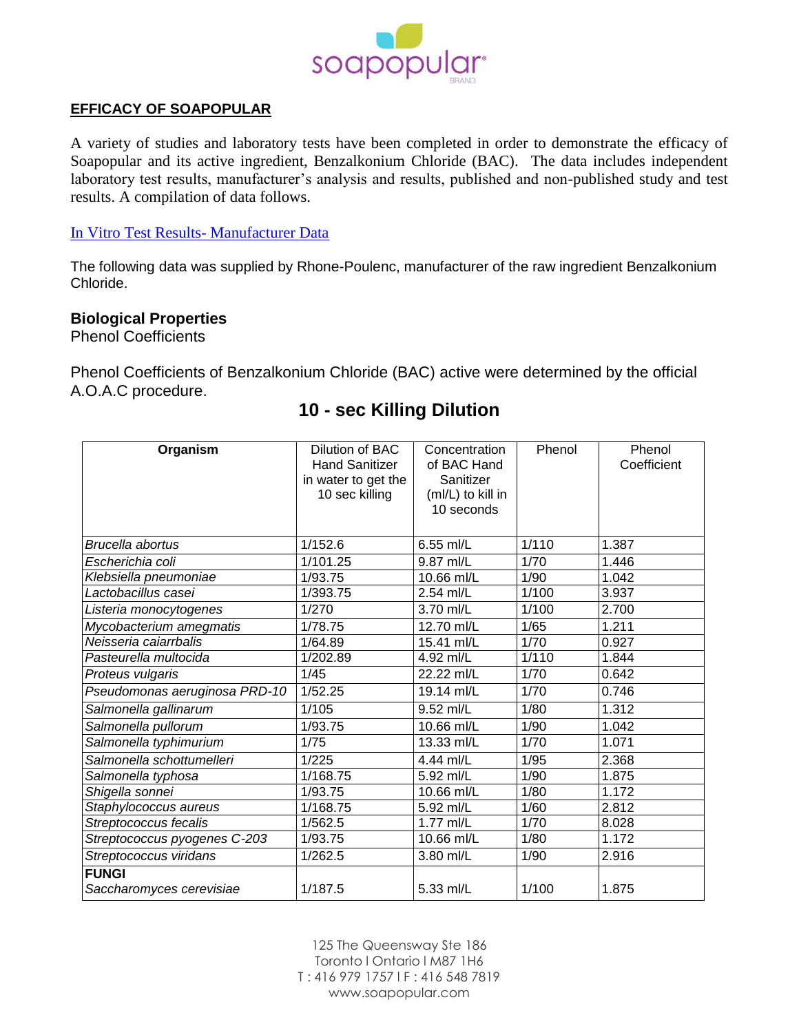

## **EFFICACY OF SOAPOPULAR**

A variety of studies and laboratory tests have been completed in order to demonstrate the efficacy of Soapopular and its active ingredient, Benzalkonium Chloride (BAC). The data includes independent laboratory test results, manufacturer's analysis and results, published and non-published study and test results. A compilation of data follows.

## In Vitro Test Results- Manufacturer Data

The following data was supplied by Rhone-Poulenc, manufacturer of the raw ingredient Benzalkonium Chloride.

## **Biological Properties**

Phenol Coefficients

Phenol Coefficients of Benzalkonium Chloride (BAC) active were determined by the official A.O.A.C procedure.

#### **Organism** Dilution of BAC Hand Sanitizer in water to get the 10 sec killing **Concentration** of BAC Hand Sanitizer (ml/L) to kill in 10 seconds Phenol Phenol **Coefficient** *Brucella abortus* 1/152.6 6.55 ml/L 1/110 1.387 *Escherichia coli* 1/101.25 9.87 ml/L 1/70 1.446 *Klebsiella pneumoniae* 1/93.75 10.66 ml/L 1/90 1.042 *Lactobacillus casei* 1/393.75 2.54 ml/L 1/100 3.937 *Listeria monocytogenes* 1/270 3.70 ml/L 1/100 2.700 *Mycobacterium amegmatis* 1/78.75 12.70 ml/L 1/65 1.211 *Neisseria caiarrbalis* 1/64.89 15.41 ml/L 1/70 0.927 *Pasteurella multocida* 1/202.89 4.92 ml/L 1/110 1.844 *Proteus vulgaris* 1/45 22.22 ml/L 1/70 0.642 *Pseudomonas aeruginosa PRD-10* 1/52.25 19.14 ml/L 1/70 0.746 *Salmonella gallinarum* 1/105 9.52 ml/L 1/80 1.312 *Salmonella pullorum* 1/93.75 10.66 ml/L 1/90 1.042 *Salmonella typhimurium* 1/75 13.33 ml/L 1/70 1.071 *Salmonella schottumelleri* 1/225 4.44 ml/L 1/95 2.368<br> *Salmonella typhosa* 1/168.75 5.92 ml/L 1/90 1.875 *Salmonella typhosa* 1/168.75 5.92 ml/L 1/90 1.875<br>*Shigella sonnei* 1/90 1.172 *Shigella sonnei* 1/93.75 10.66 ml/L 1/80 1.172 *Staphylococcus aureus* 1/168.75 5.92 ml/L 1/60 2.812 *Streptococcus fecalis* 1/562.5 1.77 ml/L 1/70 8.028 *Streptococcus pyogenes C-203* | 1/93.75 | 10.66 ml/L | 1/80 | 1.172 *Streptococcus viridans* 1/262.5 3.80 ml/L 1/90 2.916 **FUNGI** *Saccharomyces cerevisiae* 1/187.5 5.33 ml/L 1/100 1.875

# **10 - sec Killing Dilution**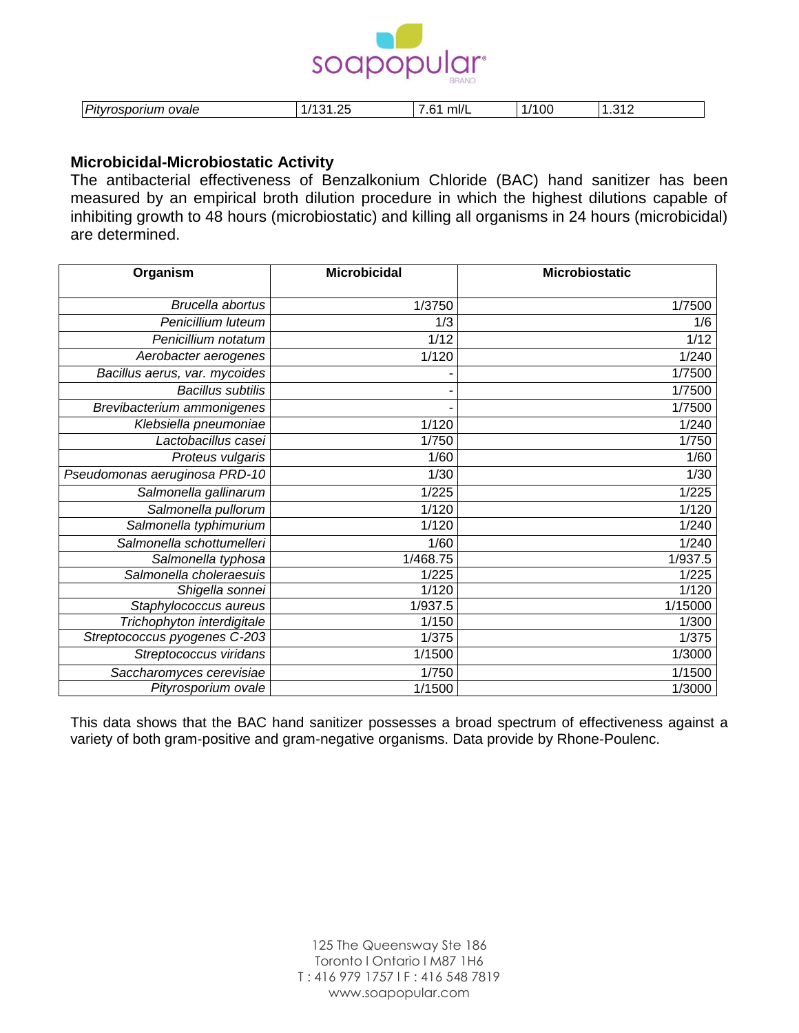

| $\sim$<br>ovale<br>.<br>.<br>--<br>Pitv<br>. | ົ<br>. .<br>ີ<br>. | ml/l<br>` ∟ | OC. | ົາ<br>ں،<br>. . |
|----------------------------------------------|--------------------|-------------|-----|-----------------|

## **Microbicidal-Microbiostatic Activity**

The antibacterial effectiveness of Benzalkonium Chloride (BAC) hand sanitizer has been measured by an empirical broth dilution procedure in which the highest dilutions capable of inhibiting growth to 48 hours (microbiostatic) and killing all organisms in 24 hours (microbicidal) are determined.

| Organism                      | <b>Microbicidal</b> | <b>Microbiostatic</b> |
|-------------------------------|---------------------|-----------------------|
| Brucella abortus              | 1/3750              | 1/7500                |
| Penicillium luteum            | 1/3                 | 1/6                   |
| Penicillium notatum           | 1/12                | 1/12                  |
|                               |                     |                       |
| Aerobacter aerogenes          | 1/120               | 1/240                 |
| Bacillus aerus, var. mycoides |                     | 1/7500                |
| <b>Bacillus subtilis</b>      |                     | 1/7500                |
| Brevibacterium ammonigenes    |                     | 1/7500                |
| Klebsiella pneumoniae         | 1/120               | 1/240                 |
| Lactobacillus casei           | 1/750               | 1/750                 |
| Proteus vulgaris              | 1/60                | 1/60                  |
| Pseudomonas aeruginosa PRD-10 | 1/30                | 1/30                  |
| Salmonella gallinarum         | 1/225               | 1/225                 |
| Salmonella pullorum           | 1/120               | 1/120                 |
| Salmonella typhimurium        | 1/120               | 1/240                 |
| Salmonella schottumelleri     | 1/60                | 1/240                 |
| Salmonella typhosa            | 1/468.75            | 1/937.5               |
| Salmonella choleraesuis       | 1/225               | 1/225                 |
| Shigella sonnei               | 1/120               | 1/120                 |
| Staphylococcus aureus         | 1/937.5             | 1/15000               |
| Trichophyton interdigitale    | 1/150               | 1/300                 |
| Streptococcus pyogenes C-203  | 1/375               | 1/375                 |
| Streptococcus viridans        | 1/1500              | 1/3000                |
| Saccharomyces cerevisiae      | 1/750               | 1/1500                |
| Pityrosporium ovale           | 1/1500              | 1/3000                |

This data shows that the BAC hand sanitizer possesses a broad spectrum of effectiveness against a variety of both gram-positive and gram-negative organisms. Data provide by Rhone-Poulenc.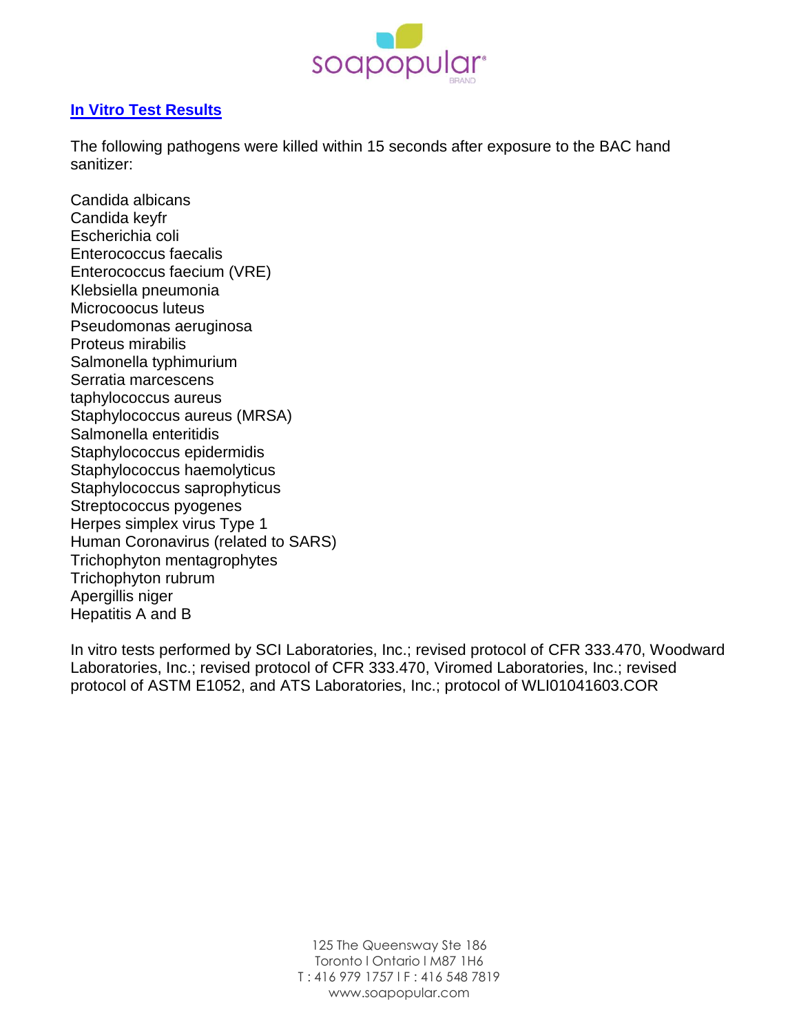

## **In Vitro Test Results**

The following pathogens were killed within 15 seconds after exposure to the BAC hand sanitizer:

Candida albicans Candida keyfr Escherichia coli Enterococcus faecalis Enterococcus faecium (VRE) Klebsiella pneumonia Microcoocus luteus Pseudomonas aeruginosa Proteus mirabilis Salmonella typhimurium Serratia marcescens taphylococcus aureus Staphylococcus aureus (MRSA) Salmonella enteritidis Staphylococcus epidermidis Staphylococcus haemolyticus Staphylococcus saprophyticus Streptococcus pyogenes Herpes simplex virus Type 1 Human Coronavirus (related to SARS) Trichophyton mentagrophytes Trichophyton rubrum Apergillis niger Hepatitis A and B

In vitro tests performed by SCI Laboratories, Inc.; revised protocol of CFR 333.470, Woodward Laboratories, Inc.; revised protocol of CFR 333.470, Viromed Laboratories, Inc.; revised protocol of ASTM E1052, and ATS Laboratories, Inc.; protocol of WLI01041603.COR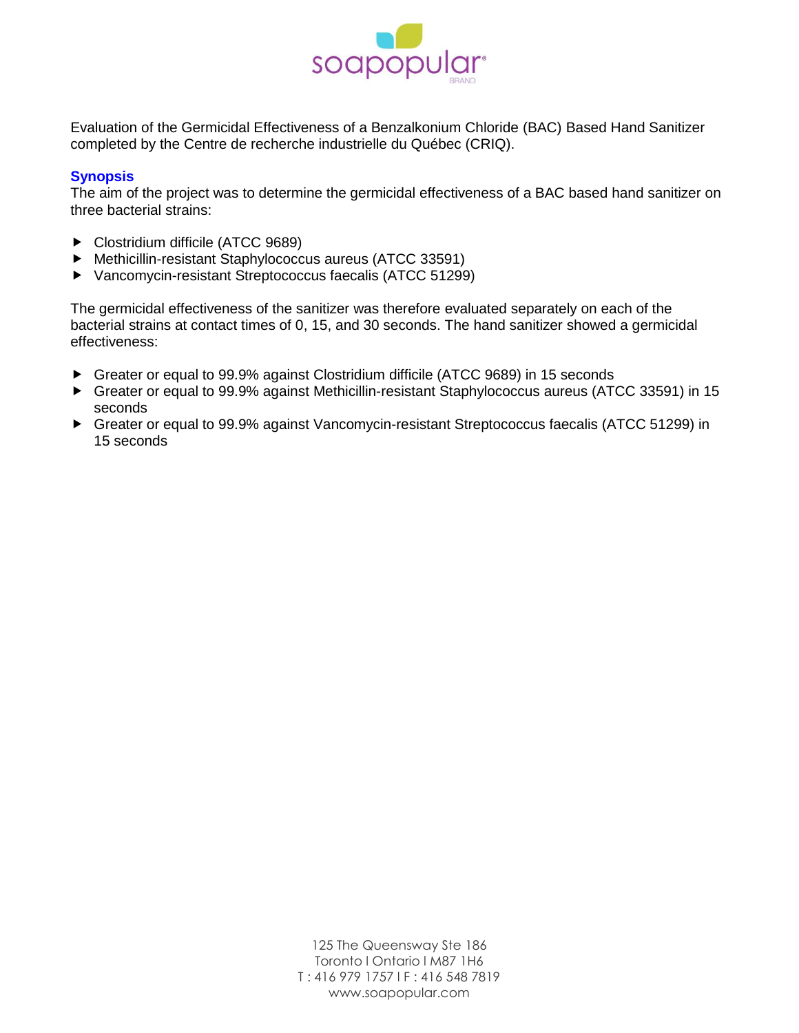

Evaluation of the Germicidal Effectiveness of a Benzalkonium Chloride (BAC) Based Hand Sanitizer completed by the Centre de recherche industrielle du Québec (CRIQ).

## **Synopsis**

The aim of the project was to determine the germicidal effectiveness of a BAC based hand sanitizer on three bacterial strains:

- ▶ Clostridium difficile (ATCC 9689)
- Methicillin-resistant Staphylococcus aureus (ATCC 33591)
- Vancomycin-resistant Streptococcus faecalis (ATCC 51299)

The germicidal effectiveness of the sanitizer was therefore evaluated separately on each of the bacterial strains at contact times of 0, 15, and 30 seconds. The hand sanitizer showed a germicidal effectiveness:

- Greater or equal to 99.9% against Clostridium difficile (ATCC 9689) in 15 seconds
- Greater or equal to 99.9% against Methicillin-resistant Staphylococcus aureus (ATCC 33591) in 15 seconds
- Greater or equal to 99.9% against Vancomycin-resistant Streptococcus faecalis (ATCC 51299) in 15 seconds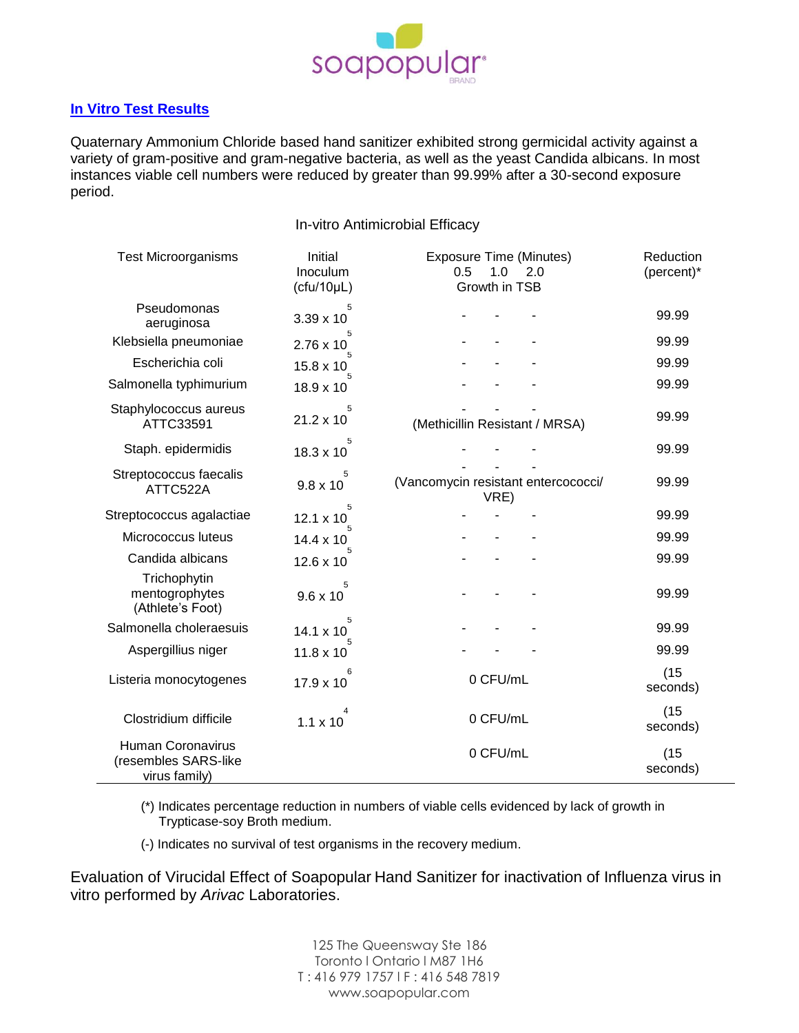

## **In Vitro Test Results**

Quaternary Ammonium Chloride based hand sanitizer exhibited strong germicidal activity against a variety of gram-positive and gram-negative bacteria, as well as the yeast Candida albicans. In most instances viable cell numbers were reduced by greater than 99.99% after a 30-second exposure period.

In-vitro Antimicrobial Efficacy

| <b>Test Microorganisms</b>                                        | Initial<br>Inoculum<br>(cfu/10µL) | <b>Exposure Time (Minutes)</b><br>0.5<br>1.0<br>2.0<br>Growth in TSB | Reduction<br>(percent)* |
|-------------------------------------------------------------------|-----------------------------------|----------------------------------------------------------------------|-------------------------|
| Pseudomonas<br>aeruginosa                                         | 5<br>$3.39 \times 10$             |                                                                      | 99.99                   |
| Klebsiella pneumoniae                                             | 5<br>$2.76 \times 10$             |                                                                      | 99.99                   |
| Escherichia coli                                                  | 15.8 x 10                         |                                                                      | 99.99                   |
| Salmonella typhimurium                                            | $18.9 \times 10$                  |                                                                      | 99.99                   |
| Staphylococcus aureus<br>ATTC33591                                | 5<br>$21.2 \times 10$             | (Methicillin Resistant / MRSA)                                       | 99.99                   |
| Staph. epidermidis                                                | 18.3 x 10                         |                                                                      | 99.99                   |
| Streptococcus faecalis<br>ATTC522A                                | 5<br>$9.8 \times 10$              | (Vancomycin resistant entercococci/<br>VRE)                          | 99.99                   |
| Streptococcus agalactiae                                          | 5<br>$12.1 \times 10$             |                                                                      | 99.99                   |
| Micrococcus luteus                                                | $14.4 \times 10$                  |                                                                      | 99.99                   |
| Candida albicans                                                  | $12.6 \times 10$                  |                                                                      | 99.99                   |
| Trichophytin<br>mentogrophytes<br>(Athlete's Foot)                | 5<br>$9.6 \times 10$              |                                                                      | 99.99                   |
| Salmonella choleraesuis                                           | 5<br>$14.1 \times 10$             |                                                                      | 99.99                   |
| Aspergillius niger                                                | $11.8 \times 10$                  |                                                                      | 99.99                   |
| Listeria monocytogenes                                            | $17.9 \times 10$                  | 0 CFU/mL                                                             | (15)<br>seconds)        |
| Clostridium difficile                                             | 4<br>$1.1 \times 10$              | 0 CFU/mL                                                             | (15)<br>seconds)        |
| <b>Human Coronavirus</b><br>(resembles SARS-like<br>virus family) |                                   | 0 CFU/mL                                                             | (15)<br>seconds)        |

(\*) Indicates percentage reduction in numbers of viable cells evidenced by lack of growth in Trypticase-soy Broth medium.

(-) Indicates no survival of test organisms in the recovery medium.

Evaluation of Virucidal Effect of Soapopular Hand Sanitizer for inactivation of Influenza virus in vitro performed by *Arivac* Laboratories.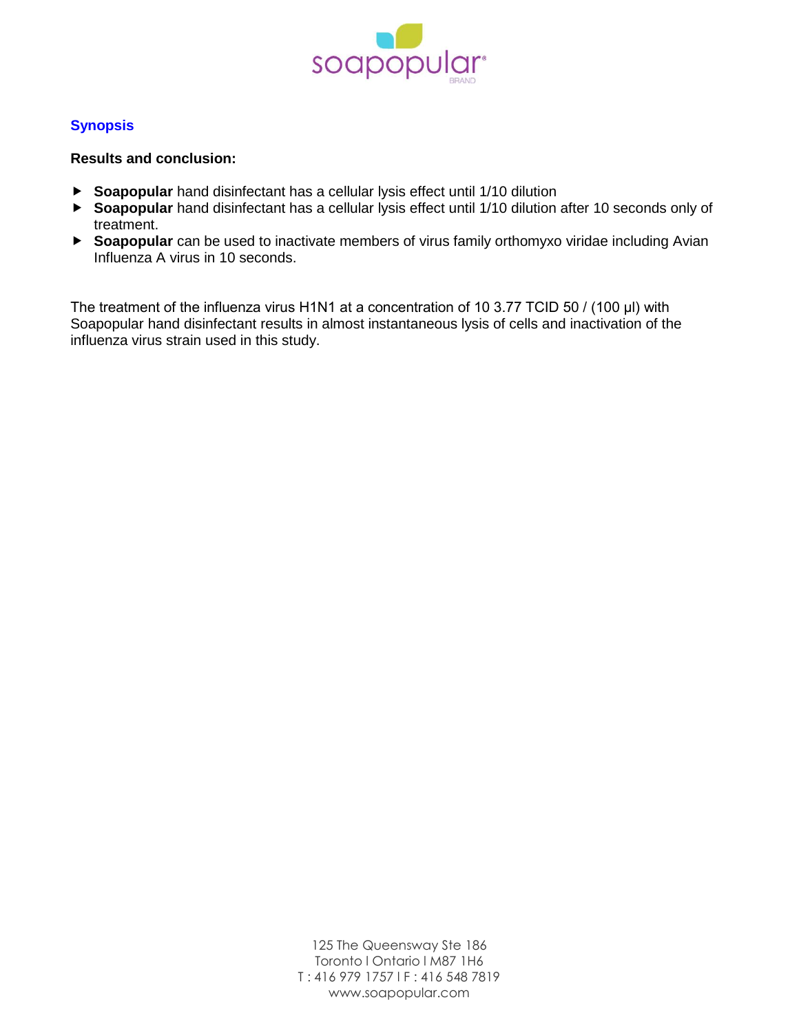

## **Synopsis**

## **Results and conclusion:**

- **Soapopular** hand disinfectant has a cellular lysis effect until 1/10 dilution
- **Soapopular** hand disinfectant has a cellular lysis effect until 1/10 dilution after 10 seconds only of treatment.
- **Soapopular** can be used to inactivate members of virus family orthomyxo viridae including Avian Influenza A virus in 10 seconds.

The treatment of the influenza virus H1N1 at a concentration of 10 3.77 TCID 50 / (100 μl) with Soapopular hand disinfectant results in almost instantaneous lysis of cells and inactivation of the influenza virus strain used in this study.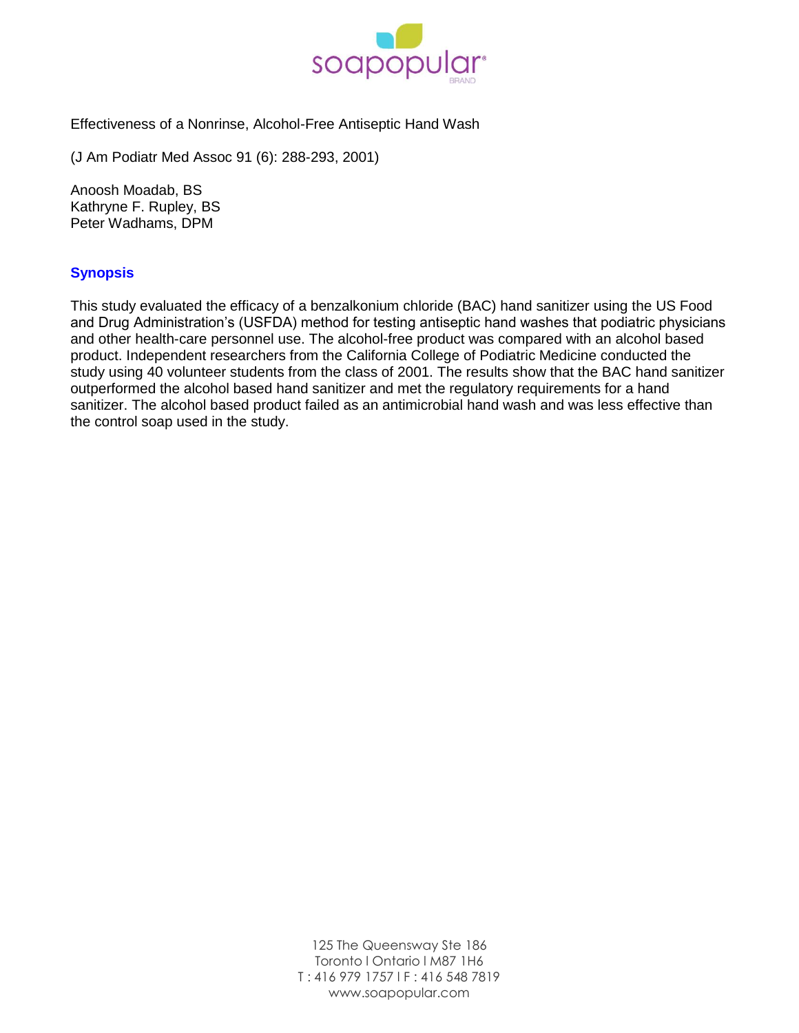

Effectiveness of a Nonrinse, Alcohol-Free Antiseptic Hand Wash

(J Am Podiatr Med Assoc 91 (6): 288-293, 2001)

Anoosh Moadab, BS Kathryne F. Rupley, BS Peter Wadhams, DPM

## **Synopsis**

This study evaluated the efficacy of a benzalkonium chloride (BAC) hand sanitizer using the US Food and Drug Administration's (USFDA) method for testing antiseptic hand washes that podiatric physicians and other health-care personnel use. The alcohol-free product was compared with an alcohol based product. Independent researchers from the California College of Podiatric Medicine conducted the study using 40 volunteer students from the class of 2001. The results show that the BAC hand sanitizer outperformed the alcohol based hand sanitizer and met the regulatory requirements for a hand sanitizer. The alcohol based product failed as an antimicrobial hand wash and was less effective than the control soap used in the study.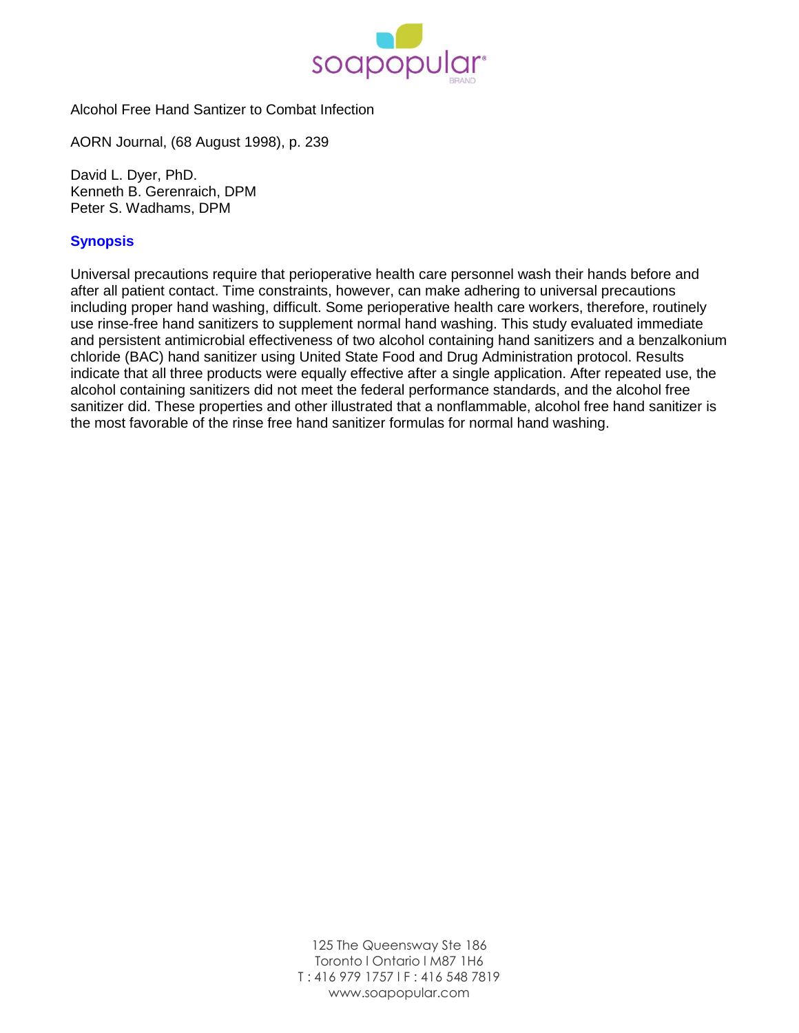

Alcohol Free Hand Santizer to Combat Infection

AORN Journal, (68 August 1998), p. 239

David L. Dyer, PhD. Kenneth B. Gerenraich, DPM Peter S. Wadhams, DPM

## **Synopsis**

Universal precautions require that perioperative health care personnel wash their hands before and after all patient contact. Time constraints, however, can make adhering to universal precautions including proper hand washing, difficult. Some perioperative health care workers, therefore, routinely use rinse-free hand sanitizers to supplement normal hand washing. This study evaluated immediate and persistent antimicrobial effectiveness of two alcohol containing hand sanitizers and a benzalkonium chloride (BAC) hand sanitizer using United State Food and Drug Administration protocol. Results indicate that all three products were equally effective after a single application. After repeated use, the alcohol containing sanitizers did not meet the federal performance standards, and the alcohol free sanitizer did. These properties and other illustrated that a nonflammable, alcohol free hand sanitizer is the most favorable of the rinse free hand sanitizer formulas for normal hand washing.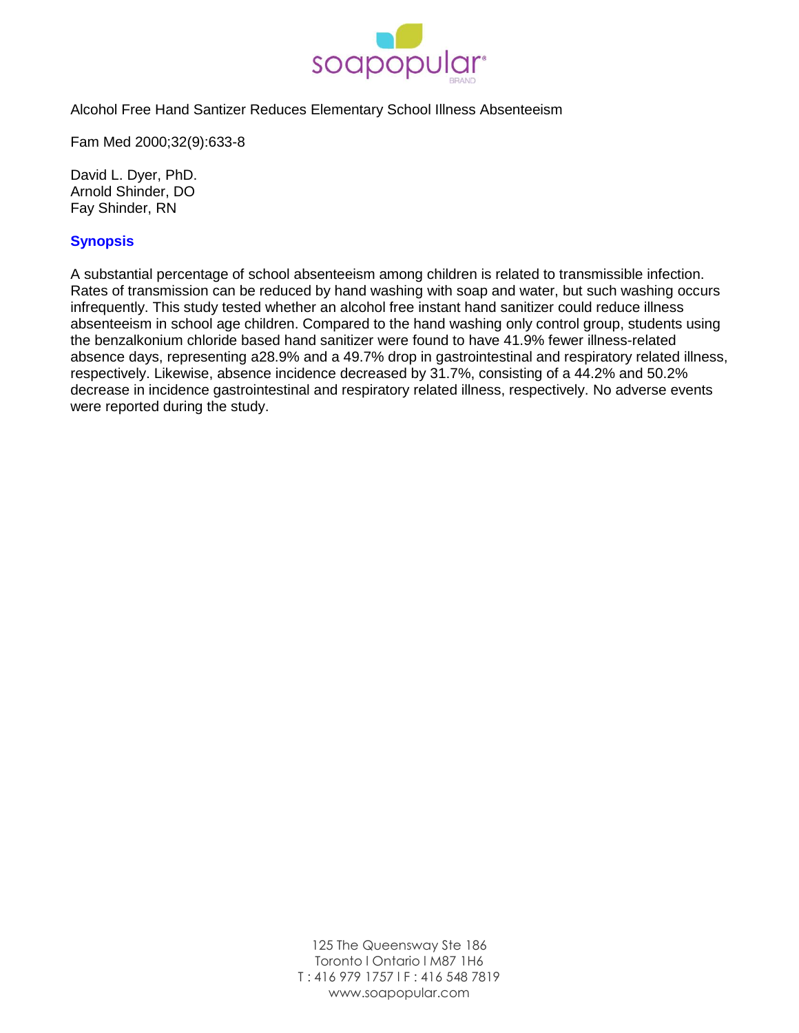

Alcohol Free Hand Santizer Reduces Elementary School Illness Absenteeism

Fam Med 2000;32(9):633-8

David L. Dyer, PhD. Arnold Shinder, DO Fay Shinder, RN

## **Synopsis**

A substantial percentage of school absenteeism among children is related to transmissible infection. Rates of transmission can be reduced by hand washing with soap and water, but such washing occurs infrequently. This study tested whether an alcohol free instant hand sanitizer could reduce illness absenteeism in school age children. Compared to the hand washing only control group, students using the benzalkonium chloride based hand sanitizer were found to have 41.9% fewer illness-related absence days, representing a28.9% and a 49.7% drop in gastrointestinal and respiratory related illness, respectively. Likewise, absence incidence decreased by 31.7%, consisting of a 44.2% and 50.2% decrease in incidence gastrointestinal and respiratory related illness, respectively. No adverse events were reported during the study.